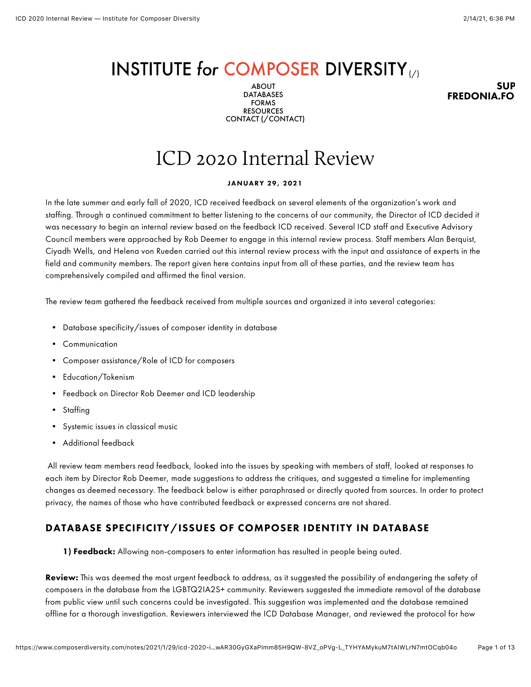# INSTITUTE for COMPOSER DIVERSITY

ABOUT DATABASES FORMS RESOURCES CONTACT [\(/CONTACT\)](https://www.composerdiversity.com/contact)

SUP **FREDONIA.FO** 

# ICD 2020 Internal Review

#### JANUARY 29, 2021

In the late summer and early fall of 2020, ICD received feedback on several elements of the organization's work and staffing. Through a continued commitment to better listening to the concerns of our community, the Director of ICD decided it was necessary to begin an internal review based on the feedback ICD received. Several ICD staff and Executive Advisory Council members were approached by Rob Deemer to engage in this internal review process. Staff members Alan Berquist, Ciyadh Wells, and Helena von Rueden carried out this internal review process with the input and assistance of experts in the field and community members. The report given here contains input from all of these parties, and the review team has comprehensively compiled and affirmed the final version.

The review team gathered the feedback received from multiple sources and organized it into several categories:

- Database specificity/issues of composer identity in database
- Communication
- Composer assistance/Role of ICD for composers
- Education/Tokenism
- Feedback on Director Rob Deemer and ICD leadership
- Staffing
- Systemic issues in classical music
- Additional feedback

 All review team members read feedback, looked into the issues by speaking with members of staff, looked at responses to each item by Director Rob Deemer, made suggestions to address the critiques, and suggested a timeline for implementing changes as deemed necessary. The feedback below is either paraphrased or directly quoted from sources. In order to protect privacy, the names of those who have contributed feedback or expressed concerns are not shared.

### DATABASE SPECIFICITY/ISSUES OF COMPOSER IDENTITY IN DATABASE

1) Feedback: Allowing non-composers to enter information has resulted in people being outed.

Review: This was deemed the most urgent feedback to address, as it suggested the possibility of endangering the safety of composers in the database from the LGBTQ2IA2S+ community. Reviewers suggested the immediate removal of the database from public view until such concerns could be investigated. This suggestion was implemented and the database remained offline for a thorough investigation. Reviewers interviewed the ICD Database Manager, and reviewed the protocol for how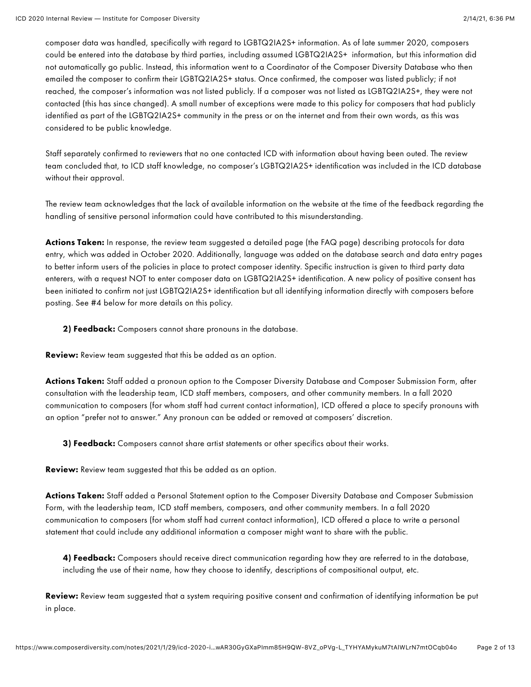composer data was handled, specifically with regard to LGBTQ2IA2S+ information. As of late summer 2020, composers could be entered into the database by third parties, including assumed LGBTQ2IA2S+ information, but this information did not automatically go public. Instead, this information went to a Coordinator of the Composer Diversity Database who then emailed the composer to confirm their LGBTQ2IA2S+ status. Once confirmed, the composer was listed publicly; if not reached, the composer's information was not listed publicly. If a composer was not listed as LGBTQ2IA2S+, they were not contacted (this has since changed). A small number of exceptions were made to this policy for composers that had publicly identified as part of the LGBTQ2IA2S+ community in the press or on the internet and from their own words, as this was considered to be public knowledge.

Staff separately confirmed to reviewers that no one contacted ICD with information about having been outed. The review team concluded that, to ICD staff knowledge, no composer's LGBTQ2IA2S+ identification was included in the ICD database without their approval.

The review team acknowledges that the lack of available information on the website at the time of the feedback regarding the handling of sensitive personal information could have contributed to this misunderstanding.

**Actions Taken:** In response, the review team suggested a detailed page (the FAQ page) describing protocols for data entry, which was added in October 2020. Additionally, language was added on the database search and data entry pages to better inform users of the policies in place to protect composer identity. Specific instruction is given to third party data enterers, with a request NOT to enter composer data on LGBTQ2IA2S+ identification. A new policy of positive consent has been initiated to confirm not just LGBTQ2IA2S+ identification but all identifying information directly with composers before posting. See #4 below for more details on this policy.

2) Feedback: Composers cannot share pronouns in the database.

Review: Review team suggested that this be added as an option.

Actions Taken: Staff added a pronoun option to the Composer Diversity Database and Composer Submission Form, after consultation with the leadership team, ICD staff members, composers, and other community members. In a fall 2020 communication to composers (for whom staff had current contact information), ICD offered a place to specify pronouns with an option "prefer not to answer." Any pronoun can be added or removed at composers' discretion.

3) Feedback: Composers cannot share artist statements or other specifics about their works.

Review: Review team suggested that this be added as an option.

Actions Taken: Staff added a Personal Statement option to the Composer Diversity Database and Composer Submission Form, with the leadership team, ICD staff members, composers, and other community members. In a fall 2020 communication to composers (for whom staff had current contact information), ICD offered a place to write a personal statement that could include any additional information a composer might want to share with the public.

4) Feedback: Composers should receive direct communication regarding how they are referred to in the database, including the use of their name, how they choose to identify, descriptions of compositional output, etc.

Review: Review team suggested that a system requiring positive consent and confirmation of identifying information be put in place.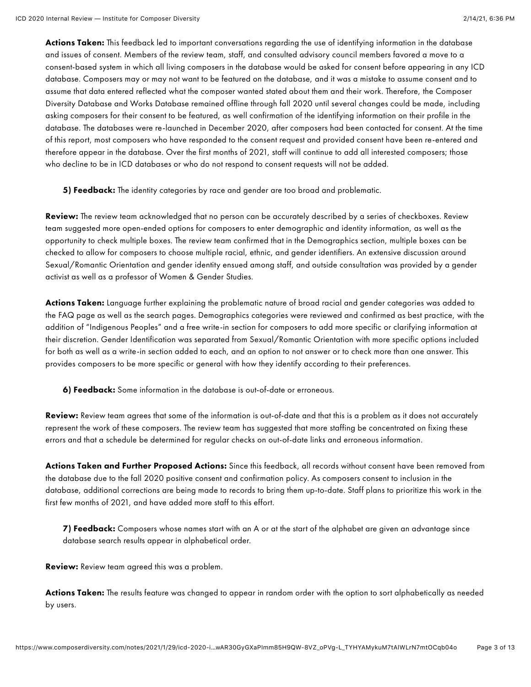Actions Taken: This feedback led to important conversations regarding the use of identifying information in the database and issues of consent. Members of the review team, staff, and consulted advisory council members favored a move to a consent-based system in which all living composers in the database would be asked for consent before appearing in any ICD database. Composers may or may not want to be featured on the database, and it was a mistake to assume consent and to assume that data entered reflected what the composer wanted stated about them and their work. Therefore, the Composer Diversity Database and Works Database remained offline through fall 2020 until several changes could be made, including asking composers for their consent to be featured, as well confirmation of the identifying information on their profile in the database. The databases were re-launched in December 2020, after composers had been contacted for consent. At the time of this report, most composers who have responded to the consent request and provided consent have been re-entered and therefore appear in the database. Over the first months of 2021, staff will continue to add all interested composers; those who decline to be in ICD databases or who do not respond to consent requests will not be added.

5) Feedback: The identity categories by race and gender are too broad and problematic.

Review: The review team acknowledged that no person can be accurately described by a series of checkboxes. Review team suggested more open-ended options for composers to enter demographic and identity information, as well as the opportunity to check multiple boxes. The review team confirmed that in the Demographics section, multiple boxes can be checked to allow for composers to choose multiple racial, ethnic, and gender identifiers. An extensive discussion around Sexual/Romantic Orientation and gender identity ensued among staff, and outside consultation was provided by a gender activist as well as a professor of Women & Gender Studies.

Actions Taken: Language further explaining the problematic nature of broad racial and gender categories was added to the FAQ page as well as the search pages. Demographics categories were reviewed and confirmed as best practice, with the addition of "Indigenous Peoples" and a free write-in section for composers to add more specific or clarifying information at their discretion. Gender Identification was separated from Sexual/Romantic Orientation with more specific options included for both as well as a write-in section added to each, and an option to not answer or to check more than one answer. This provides composers to be more specific or general with how they identify according to their preferences.

6) Feedback: Some information in the database is out-of-date or erroneous.

Review: Review team agrees that some of the information is out-of-date and that this is a problem as it does not accurately represent the work of these composers. The review team has suggested that more staffing be concentrated on fixing these errors and that a schedule be determined for regular checks on out-of-date links and erroneous information.

Actions Taken and Further Proposed Actions: Since this feedback, all records without consent have been removed from the database due to the fall 2020 positive consent and confirmation policy. As composers consent to inclusion in the database, additional corrections are being made to records to bring them up-to-date. Staff plans to prioritize this work in the first few months of 2021, and have added more staff to this effort.

7) Feedback: Composers whose names start with an A or at the start of the alphabet are given an advantage since database search results appear in alphabetical order.

Review: Review team agreed this was a problem.

Actions Taken: The results feature was changed to appear in random order with the option to sort alphabetically as needed by users.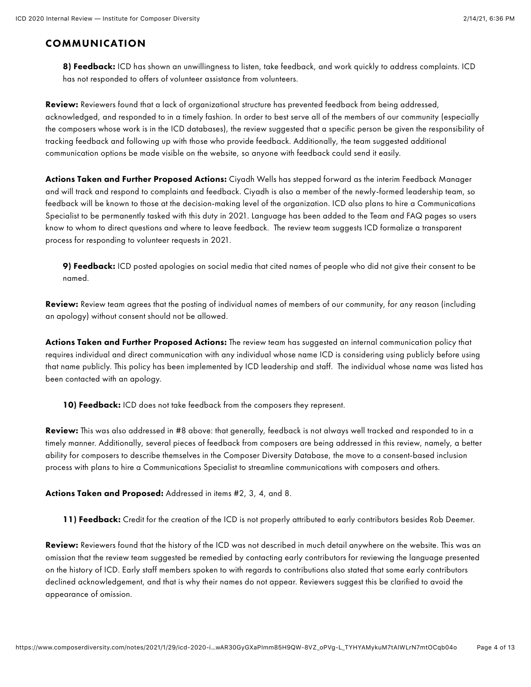## COMMUNICATION

8) Feedback: ICD has shown an unwillingness to listen, take feedback, and work quickly to address complaints. ICD has not responded to offers of volunteer assistance from volunteers.

Review: Reviewers found that a lack of organizational structure has prevented feedback from being addressed, acknowledged, and responded to in a timely fashion. In order to best serve all of the members of our community (especially the composers whose work is in the ICD databases), the review suggested that a specific person be given the responsibility of tracking feedback and following up with those who provide feedback. Additionally, the team suggested additional communication options be made visible on the website, so anyone with feedback could send it easily.

Actions Taken and Further Proposed Actions: Ciyadh Wells has stepped forward as the interim Feedback Manager and will track and respond to complaints and feedback. Ciyadh is also a member of the newly-formed leadership team, so feedback will be known to those at the decision-making level of the organization. ICD also plans to hire a Communications Specialist to be permanently tasked with this duty in 2021. Language has been added to the Team and FAQ pages so users know to whom to direct questions and where to leave feedback. The review team suggests ICD formalize a transparent process for responding to volunteer requests in 2021.

9) Feedback: ICD posted apologies on social media that cited names of people who did not give their consent to be named.

Review: Review team agrees that the posting of individual names of members of our community, for any reason (including an apology) without consent should not be allowed.

Actions Taken and Further Proposed Actions: The review team has suggested an internal communication policy that requires individual and direct communication with any individual whose name ICD is considering using publicly before using that name publicly. This policy has been implemented by ICD leadership and staff. The individual whose name was listed has been contacted with an apology.

10) Feedback: ICD does not take feedback from the composers they represent.

Review: This was also addressed in #8 above: that generally, feedback is not always well tracked and responded to in a timely manner. Additionally, several pieces of feedback from composers are being addressed in this review, namely, a better ability for composers to describe themselves in the Composer Diversity Database, the move to a consent-based inclusion process with plans to hire a Communications Specialist to streamline communications with composers and others.

Actions Taken and Proposed: Addressed in items #2, 3, 4, and 8.

11) Feedback: Credit for the creation of the ICD is not properly attributed to early contributors besides Rob Deemer.

Review: Reviewers found that the history of the ICD was not described in much detail anywhere on the website. This was an omission that the review team suggested be remedied by contacting early contributors for reviewing the language presented on the history of ICD. Early staff members spoken to with regards to contributions also stated that some early contributors declined acknowledgement, and that is why their names do not appear. Reviewers suggest this be clarified to avoid the appearance of omission.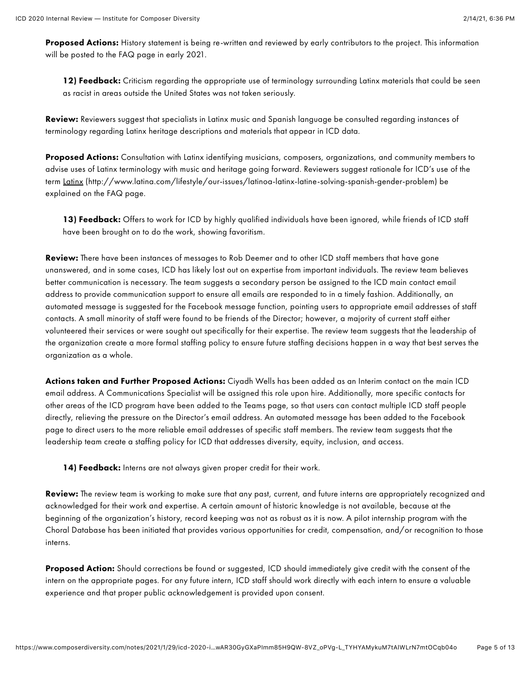Proposed Actions: History statement is being re-written and reviewed by early contributors to the project. This information will be posted to the FAQ page in early 2021.

12) Feedback: Criticism regarding the appropriate use of terminology surrounding Latinx materials that could be seen as racist in areas outside the United States was not taken seriously.

Review: Reviewers suggest that specialists in Latinx music and Spanish language be consulted regarding instances of terminology regarding Latinx heritage descriptions and materials that appear in ICD data.

Proposed Actions: Consultation with Latinx identifying musicians, composers, organizations, and community members to advise uses of Latinx terminology with music and heritage going forward. Reviewers suggest rationale for ICD's use of the term [Latinx \(http://www.latina.com/lifestyle/our-issues/latinoa-latinx-latine-solving-spanish-gender-problem\)](http://www.latina.com/lifestyle/our-issues/latinoa-latinx-latine-solving-spanish-gender-problem) be explained on the FAQ page.

13) Feedback: Offers to work for ICD by highly qualified individuals have been ignored, while friends of ICD staff have been brought on to do the work, showing favoritism.

Review: There have been instances of messages to Rob Deemer and to other ICD staff members that have gone unanswered, and in some cases, ICD has likely lost out on expertise from important individuals. The review team believes better communication is necessary. The team suggests a secondary person be assigned to the ICD main contact email address to provide communication support to ensure all emails are responded to in a timely fashion. Additionally, an automated message is suggested for the Facebook message function, pointing users to appropriate email addresses of staff contacts. A small minority of staff were found to be friends of the Director; however, a majority of current staff either volunteered their services or were sought out specifically for their expertise. The review team suggests that the leadership of the organization create a more formal staffing policy to ensure future staffing decisions happen in a way that best serves the organization as a whole.

Actions taken and Further Proposed Actions: Ciyadh Wells has been added as an Interim contact on the main ICD email address. A Communications Specialist will be assigned this role upon hire. Additionally, more specific contacts for other areas of the ICD program have been added to the Teams page, so that users can contact multiple ICD staff people directly, relieving the pressure on the Director's email address. An automated message has been added to the Facebook page to direct users to the more reliable email addresses of specific staff members. The review team suggests that the leadership team create a staffing policy for ICD that addresses diversity, equity, inclusion, and access.

14) Feedback: Interns are not always given proper credit for their work.

Review: The review team is working to make sure that any past, current, and future interns are appropriately recognized and acknowledged for their work and expertise. A certain amount of historic knowledge is not available, because at the beginning of the organization's history, record keeping was not as robust as it is now. A pilot internship program with the Choral Database has been initiated that provides various opportunities for credit, compensation, and/or recognition to those interns.

Proposed Action: Should corrections be found or suggested, ICD should immediately give credit with the consent of the intern on the appropriate pages. For any future intern, ICD staff should work directly with each intern to ensure a valuable experience and that proper public acknowledgement is provided upon consent.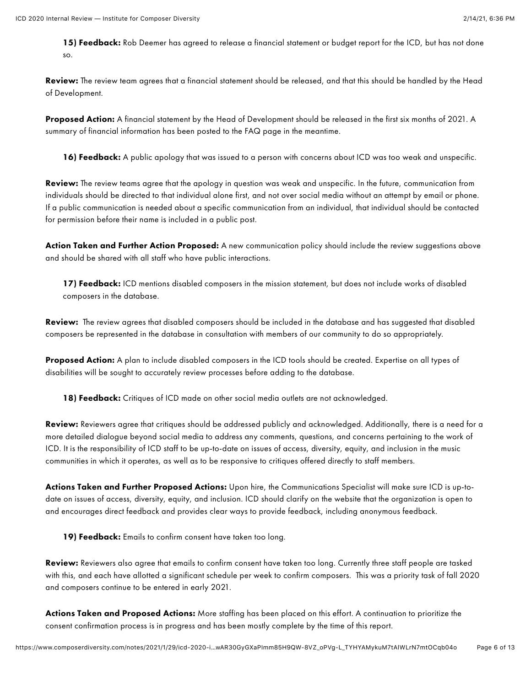15) Feedback: Rob Deemer has agreed to release a financial statement or budget report for the ICD, but has not done so.

Review: The review team agrees that a financial statement should be released, and that this should be handled by the Head of Development.

Proposed Action: A financial statement by the Head of Development should be released in the first six months of 2021. A summary of financial information has been posted to the FAQ page in the meantime.

16) Feedback: A public apology that was issued to a person with concerns about ICD was too weak and unspecific.

Review: The review teams agree that the apology in question was weak and unspecific. In the future, communication from individuals should be directed to that individual alone first, and not over social media without an attempt by email or phone. If a public communication is needed about a specific communication from an individual, that individual should be contacted for permission before their name is included in a public post.

Action Taken and Further Action Proposed: A new communication policy should include the review suggestions above and should be shared with all staff who have public interactions.

17) Feedback: ICD mentions disabled composers in the mission statement, but does not include works of disabled composers in the database.

Review: The review agrees that disabled composers should be included in the database and has suggested that disabled composers be represented in the database in consultation with members of our community to do so appropriately.

Proposed Action: A plan to include disabled composers in the ICD tools should be created. Expertise on all types of disabilities will be sought to accurately review processes before adding to the database.

18) Feedback: Critiques of ICD made on other social media outlets are not acknowledged.

Review: Reviewers agree that critiques should be addressed publicly and acknowledged. Additionally, there is a need for a more detailed dialogue beyond social media to address any comments, questions, and concerns pertaining to the work of ICD. It is the responsibility of ICD staff to be up-to-date on issues of access, diversity, equity, and inclusion in the music communities in which it operates, as well as to be responsive to critiques offered directly to staff members.

Actions Taken and Further Proposed Actions: Upon hire, the Communications Specialist will make sure ICD is up-todate on issues of access, diversity, equity, and inclusion. ICD should clarify on the website that the organization is open to and encourages direct feedback and provides clear ways to provide feedback, including anonymous feedback.

19) Feedback: Emails to confirm consent have taken too long.

Review: Reviewers also agree that emails to confirm consent have taken too long. Currently three staff people are tasked with this, and each have allotted a significant schedule per week to confirm composers. This was a priority task of fall 2020 and composers continue to be entered in early 2021.

Actions Taken and Proposed Actions: More staffing has been placed on this effort. A continuation to prioritize the consent confirmation process is in progress and has been mostly complete by the time of this report.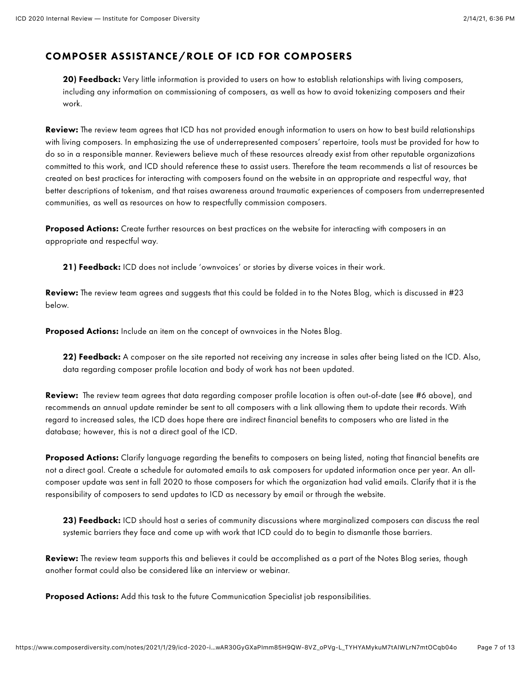## COMPOSER ASSISTANCE/ROLE OF ICD FOR COMPOSERS

20) Feedback: Very little information is provided to users on how to establish relationships with living composers, including any information on commissioning of composers, as well as how to avoid tokenizing composers and their work.

Review: The review team agrees that ICD has not provided enough information to users on how to best build relationships with living composers. In emphasizing the use of underrepresented composers' repertoire, tools must be provided for how to do so in a responsible manner. Reviewers believe much of these resources already exist from other reputable organizations committed to this work, and ICD should reference these to assist users. Therefore the team recommends a list of resources be created on best practices for interacting with composers found on the website in an appropriate and respectful way, that better descriptions of tokenism, and that raises awareness around traumatic experiences of composers from underrepresented communities, as well as resources on how to respectfully commission composers.

Proposed Actions: Create further resources on best practices on the website for interacting with composers in an appropriate and respectful way.

21) Feedback: ICD does not include 'ownvoices' or stories by diverse voices in their work.

**Review:** The review team agrees and suggests that this could be folded in to the Notes Blog, which is discussed in #23 below.

Proposed Actions: Include an item on the concept of ownvoices in the Notes Blog.

22) Feedback: A composer on the site reported not receiving any increase in sales after being listed on the ICD. Also, data regarding composer profile location and body of work has not been updated.

Review: The review team agrees that data regarding composer profile location is often out-of-date (see #6 above), and recommends an annual update reminder be sent to all composers with a link allowing them to update their records. With regard to increased sales, the ICD does hope there are indirect financial benefits to composers who are listed in the database; however, this is not a direct goal of the ICD.

Proposed Actions: Clarify language regarding the benefits to composers on being listed, noting that financial benefits are not a direct goal. Create a schedule for automated emails to ask composers for updated information once per year. An allcomposer update was sent in fall 2020 to those composers for which the organization had valid emails. Clarify that it is the responsibility of composers to send updates to ICD as necessary by email or through the website.

23) Feedback: ICD should host a series of community discussions where marginalized composers can discuss the real systemic barriers they face and come up with work that ICD could do to begin to dismantle those barriers.

**Review:** The review team supports this and believes it could be accomplished as a part of the Notes Blog series, though another format could also be considered like an interview or webinar.

Proposed Actions: Add this task to the future Communication Specialist job responsibilities.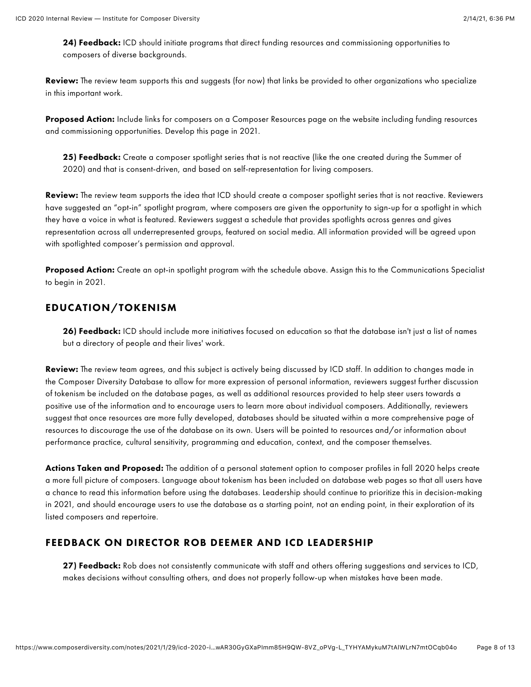24) Feedback: ICD should initiate programs that direct funding resources and commissioning opportunities to composers of diverse backgrounds.

Review: The review team supports this and suggests (for now) that links be provided to other organizations who specialize in this important work.

Proposed Action: Include links for composers on a Composer Resources page on the website including funding resources and commissioning opportunities. Develop this page in 2021.

25) Feedback: Create a composer spotlight series that is not reactive (like the one created during the Summer of 2020) and that is consent-driven, and based on self-representation for living composers.

Review: The review team supports the idea that ICD should create a composer spotlight series that is not reactive. Reviewers have suggested an "opt-in" spotlight program, where composers are given the opportunity to sign-up for a spotlight in which they have a voice in what is featured. Reviewers suggest a schedule that provides spotlights across genres and gives representation across all underrepresented groups, featured on social media. All information provided will be agreed upon with spotlighted composer's permission and approval.

Proposed Action: Create an opt-in spotlight program with the schedule above. Assign this to the Communications Specialist to begin in 2021.

### EDUCATION/TOKENISM

26) Feedback: ICD should include more initiatives focused on education so that the database isn't just a list of names but a directory of people and their lives' work.

Review: The review team agrees, and this subject is actively being discussed by ICD staff. In addition to changes made in the Composer Diversity Database to allow for more expression of personal information, reviewers suggest further discussion of tokenism be included on the database pages, as well as additional resources provided to help steer users towards a positive use of the information and to encourage users to learn more about individual composers. Additionally, reviewers suggest that once resources are more fully developed, databases should be situated within a more comprehensive page of resources to discourage the use of the database on its own. Users will be pointed to resources and/or information about performance practice, cultural sensitivity, programming and education, context, and the composer themselves.

Actions Taken and Proposed: The addition of a personal statement option to composer profiles in fall 2020 helps create a more full picture of composers. Language about tokenism has been included on database web pages so that all users have a chance to read this information before using the databases. Leadership should continue to prioritize this in decision-making in 2021, and should encourage users to use the database as a starting point, not an ending point, in their exploration of its listed composers and repertoire.

### FEEDBACK ON DIRECTOR ROB DEEMER AND ICD LEADERSHIP

27) Feedback: Rob does not consistently communicate with staff and others offering suggestions and services to ICD, makes decisions without consulting others, and does not properly follow-up when mistakes have been made.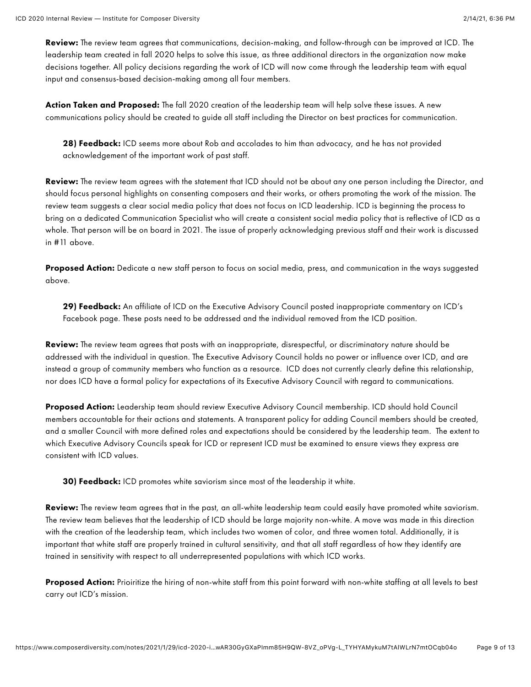Review: The review team agrees that communications, decision-making, and follow-through can be improved at ICD. The leadership team created in fall 2020 helps to solve this issue, as three additional directors in the organization now make decisions together. All policy decisions regarding the work of ICD will now come through the leadership team with equal input and consensus-based decision-making among all four members.

Action Taken and Proposed: The fall 2020 creation of the leadership team will help solve these issues. A new communications policy should be created to guide all staff including the Director on best practices for communication.

28) Feedback: ICD seems more about Rob and accolades to him than advocacy, and he has not provided acknowledgement of the important work of past staff.

Review: The review team agrees with the statement that ICD should not be about any one person including the Director, and should focus personal highlights on consenting composers and their works, or others promoting the work of the mission. The review team suggests a clear social media policy that does not focus on ICD leadership. ICD is beginning the process to bring on a dedicated Communication Specialist who will create a consistent social media policy that is reflective of ICD as a whole. That person will be on board in 2021. The issue of properly acknowledging previous staff and their work is discussed in #11 above.

Proposed Action: Dedicate a new staff person to focus on social media, press, and communication in the ways suggested above.

29) Feedback: An affiliate of ICD on the Executive Advisory Council posted inappropriate commentary on ICD's Facebook page. These posts need to be addressed and the individual removed from the ICD position.

Review: The review team agrees that posts with an inappropriate, disrespectful, or discriminatory nature should be addressed with the individual in question. The Executive Advisory Council holds no power or influence over ICD, and are instead a group of community members who function as a resource. ICD does not currently clearly define this relationship, nor does ICD have a formal policy for expectations of its Executive Advisory Council with regard to communications.

Proposed Action: Leadership team should review Executive Advisory Council membership. ICD should hold Council members accountable for their actions and statements. A transparent policy for adding Council members should be created, and a smaller Council with more defined roles and expectations should be considered by the leadership team. The extent to which Executive Advisory Councils speak for ICD or represent ICD must be examined to ensure views they express are consistent with ICD values.

**30) Feedback:** ICD promotes white saviorism since most of the leadership it white.

Review: The review team agrees that in the past, an all-white leadership team could easily have promoted white saviorism. The review team believes that the leadership of ICD should be large majority non-white. A move was made in this direction with the creation of the leadership team, which includes two women of color, and three women total. Additionally, it is important that white staff are properly trained in cultural sensitivity, and that all staff regardless of how they identify are trained in sensitivity with respect to all underrepresented populations with which ICD works.

Proposed Action: Prioiritize the hiring of non-white staff from this point forward with non-white staffing at all levels to best carry out ICD's mission.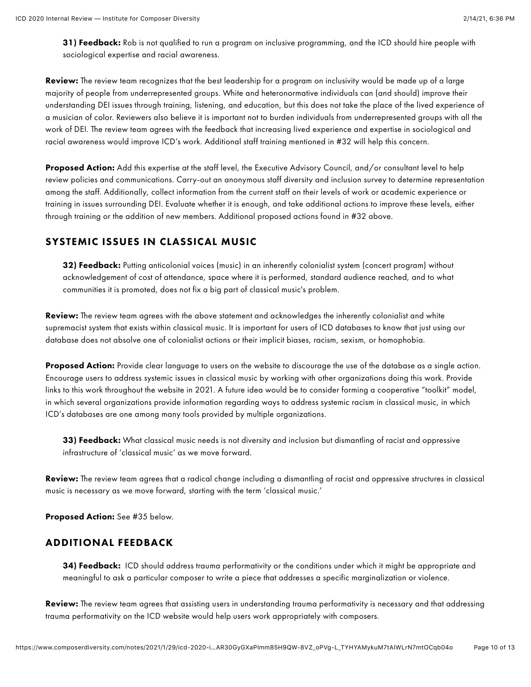31) Feedback: Rob is not qualified to run a program on inclusive programming, and the ICD should hire people with sociological expertise and racial awareness.

Review: The review team recognizes that the best leadership for a program on inclusivity would be made up of a large majority of people from underrepresented groups. White and heteronormative individuals can (and should) improve their understanding DEI issues through training, listening, and education, but this does not take the place of the lived experience of a musician of color. Reviewers also believe it is important not to burden individuals from underrepresented groups with all the work of DEI. The review team agrees with the feedback that increasing lived experience and expertise in sociological and racial awareness would improve ICD's work. Additional staff training mentioned in #32 will help this concern.

Proposed Action: Add this expertise at the staff level, the Executive Advisory Council, and/or consultant level to help review policies and communications. Carry-out an anonymous staff diversity and inclusion survey to determine representation among the staff. Additionally, collect information from the current staff on their levels of work or academic experience or training in issues surrounding DEI. Evaluate whether it is enough, and take additional actions to improve these levels, either through training or the addition of new members. Additional proposed actions found in #32 above.

#### SYSTEMIC ISSUES IN CLASSICAL MUSIC

32) Feedback: Putting anticolonial voices (music) in an inherently colonialist system (concert program) without acknowledgement of cost of attendance, space where it is performed, standard audience reached, and to what communities it is promoted, does not fix a big part of classical music's problem.

Review: The review team agrees with the above statement and acknowledges the inherently colonialist and white supremacist system that exists within classical music. It is important for users of ICD databases to know that just using our database does not absolve one of colonialist actions or their implicit biases, racism, sexism, or homophobia.

**Proposed Action:** Provide clear language to users on the website to discourage the use of the database as a single action. Encourage users to address systemic issues in classical music by working with other organizations doing this work. Provide links to this work throughout the website in 2021. A future idea would be to consider forming a cooperative "toolkit" model, in which several organizations provide information regarding ways to address systemic racism in classical music, in which ICD's databases are one among many tools provided by multiple organizations.

33) Feedback: What classical music needs is not diversity and inclusion but dismantling of racist and oppressive infrastructure of 'classical music' as we move forward.

Review: The review team agrees that a radical change including a dismantling of racist and oppressive structures in classical music is necessary as we move forward, starting with the term 'classical music.'

Proposed Action: See #35 below.

#### ADDITIONAL FEEDBACK

34) Feedback: ICD should address trauma performativity or the conditions under which it might be appropriate and meaningful to ask a particular composer to write a piece that addresses a specific marginalization or violence.

Review: The review team agrees that assisting users in understanding trauma performativity is necessary and that addressing trauma performativity on the ICD website would help users work appropriately with composers.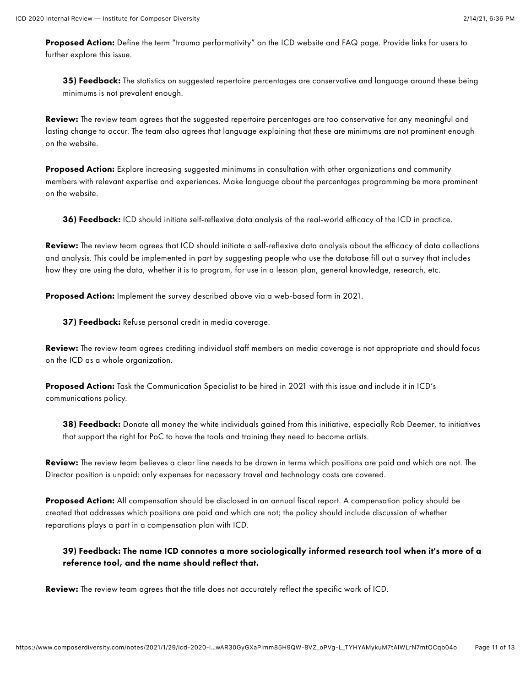Proposed Action: Define the term "trauma performativity" on the ICD website and FAQ page. Provide links for users to further explore this issue.

35) Feedback: The statistics on suggested repertoire percentages are conservative and language around these being minimums is not prevalent enough.

Review: The review team agrees that the suggested repertoire percentages are too conservative for any meaningful and lasting change to occur. The team also agrees that language explaining that these are minimums are not prominent enough on the website.

Proposed Action: Explore increasing suggested minimums in consultation with other organizations and community members with relevant expertise and experiences. Make language about the percentages programming be more prominent on the website.

36) Feedback: ICD should initiate self-reflexive data analysis of the real-world efficacy of the ICD in practice.

Review: The review team agrees that ICD should initiate a self-reflexive data analysis about the efficacy of data collections and analysis. This could be implemented in part by suggesting people who use the database fill out a survey that includes how they are using the data, whether it is to program, for use in a lesson plan, general knowledge, research, etc.

Proposed Action: Implement the survey described above via a web-based form in 2021.

37) Feedback: Refuse personal credit in media coverage.

Review: The review team agrees crediting individual staff members on media coverage is not appropriate and should focus on the ICD as a whole organization.

Proposed Action: Task the Communication Specialist to be hired in 2021 with this issue and include it in ICD's communications policy.

38) Feedback: Donate all money the white individuals gained from this initiative, especially Rob Deemer, to initiatives that support the right for PoC to have the tools and training they need to become artists.

Review: The review team believes a clear line needs to be drawn in terms which positions are paid and which are not. The Director position is unpaid: only expenses for necessary travel and technology costs are covered.

Proposed Action: All compensation should be disclosed in an annual fiscal report. A compensation policy should be created that addresses which positions are paid and which are not; the policy should include discussion of whether reparations plays a part in a compensation plan with ICD.

39) Feedback: The name ICD connotes a more sociologically informed research tool when it's more of a reference tool, and the name should reflect that.

Review: The review team agrees that the title does not accurately reflect the specific work of ICD.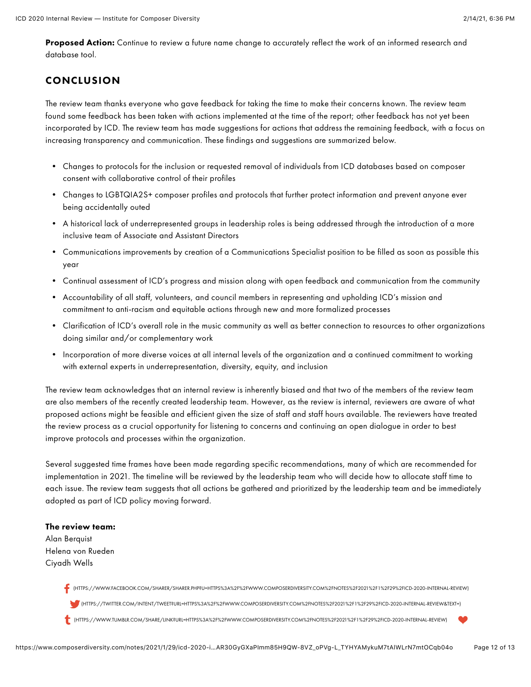Proposed Action: Continue to review a future name change to accurately reflect the work of an informed research and database tool.

## **CONCLUSION**

The review team thanks everyone who gave feedback for taking the time to make their concerns known. The review team found some feedback has been taken with actions implemented at the time of the report; other feedback has not yet been incorporated by ICD. The review team has made suggestions for actions that address the remaining feedback, with a focus on increasing transparency and communication. These findings and suggestions are summarized below.

- Changes to protocols for the inclusion or requested removal of individuals from ICD databases based on composer consent with collaborative control of their profiles
- Changes to LGBTQIA2S+ composer profiles and protocols that further protect information and prevent anyone ever being accidentally outed
- A historical lack of underrepresented groups in leadership roles is being addressed through the introduction of a more inclusive team of Associate and Assistant Directors
- Communications improvements by creation of a Communications Specialist position to be filled as soon as possible this year
- Continual assessment of ICD's progress and mission along with open feedback and communication from the community
- Accountability of all staff, volunteers, and council members in representing and upholding ICD's mission and commitment to anti-racism and equitable actions through new and more formalized processes
- Clarification of ICD's overall role in the music community as well as better connection to resources to other organizations doing similar and/or complementary work
- Incorporation of more diverse voices at all internal levels of the organization and a continued commitment to working with external experts in underrepresentation, diversity, equity, and inclusion

The review team acknowledges that an internal review is inherently biased and that two of the members of the review team are also members of the recently created leadership team. However, as the review is internal, reviewers are aware of what proposed actions might be feasible and efficient given the size of staff and staff hours available. The reviewers have treated the review process as a crucial opportunity for listening to concerns and continuing an open dialogue in order to best improve protocols and processes within the organization.

Several suggested time frames have been made regarding specific recommendations, many of which are recommended for implementation in 2021. The timeline will be reviewed by the leadership team who will decide how to allocate staff time to each issue. The review team suggests that all actions be gathered and prioritized by the leadership team and be immediately adopted as part of ICD policy moving forward.

#### The review team:

Alan Berquist Helena von Rueden Ciyadh Wells

> [\(HTTPS://WWW.FACEBOOK.COM/SHARER/SHARER.PHP?U=HTTPS%3A%2F%2FWWW.COMPOSERDIVERSITY.COM%2FNOTES%2F2021%2F1%2F29%2FICD-2020-INTERNAL-REVIEW\)](https://www.facebook.com/sharer/sharer.php?u=https://www.composerdiversity.com/notes/2021/1/29/icd-2020-internal-review) [\(HTTPS://TWITTER.COM/INTENT/TWEET?URL=HTTPS%3A%2F%2FWWW.COMPOSERDIVERSITY.COM%2FNOTES%2F2021%2F1%2F29%2FICD-2020-INTERNAL-REVIEW&TEXT=\)](https://twitter.com/intent/tweet?url=https://www.composerdiversity.com/notes/2021/1/29/icd-2020-internal-review&text=) [\(HTTPS://WWW.TUMBLR.COM/SHARE/LINK?URL=HTTPS%3A%2F%2FWWW.COMPOSERDIVERSITY.COM%2FNOTES%2F2021%2F1%2F29%2FICD-2020-INTERNAL-REVIEW\)](https://www.tumblr.com/share/link?url=https://www.composerdiversity.com/notes/2021/1/29/icd-2020-internal-review)